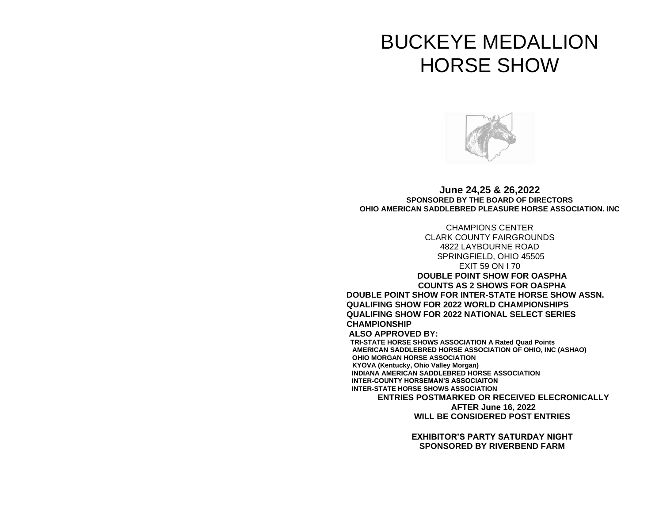# BUCKEYE MEDALLION HORSE SHOW



**June 24,25 & 26,2022 SPONSORED BY THE BOARD OF DIRECTORS OHIO AMERICAN SADDLEBRED PLEASURE HORSE ASSOCIATION. INC**

CHAMPIONS CENTER CLARK COUNTY FAIRGROUNDS 4822 LAYBOURNE ROAD SPRINGFIELD, OHIO 45505 EXIT 59 ON I 70 **DOUBLE POINT SHOW FOR OASPHA COUNTS AS 2 SHOWS FOR OASPHA DOUBLE POINT SHOW FOR INTER-STATE HORSE SHOW ASSN. QUALIFING SHOW FOR 2022 WORLD CHAMPIONSHIPS QUALIFING SHOW FOR 2022 NATIONAL SELECT SERIES CHAMPIONSHIP ALSO APPROVED BY: TRI-STATE HORSE SHOWS ASSOCIATION A Rated Quad Points AMERICAN SADDLEBRED HORSE ASSOCIATION OF OHIO, INC (ASHAO) OHIO MORGAN HORSE ASSOCIATION KYOVA (Kentucky, Ohio Valley Morgan) INDIANA AMERICAN SADDLEBRED HORSE ASSOCIATION INTER-COUNTY HORSEMAN'S ASSOCIAITON INTER-STATE HORSE SHOWS ASSOCIATION ENTRIES POSTMARKED OR RECEIVED ELECRONICALLY** 

> **AFTER June 16, 2022 WILL BE CONSIDERED POST ENTRIES**

**EXHIBITOR'S PARTY SATURDAY NIGHT SPONSORED BY RIVERBEND FARM**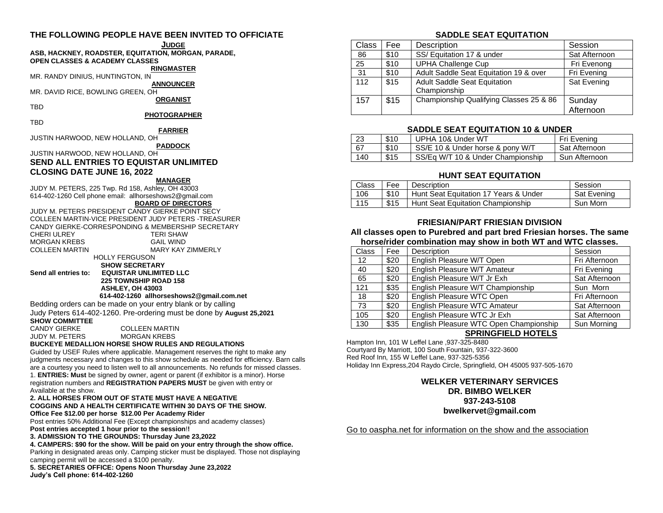# **THE FOLLOWING PEOPLE HAVE BEEN INVITED TO OFFICIATE**

### **JUDGE**

#### **ASB, HACKNEY, ROADSTER, EQUITATION, MORGAN, PARADE, OPEN CLASSES & ACADEMY CLASSES**

### **RINGMASTER**

MR. RANDY DINIUS, HUNTINGTON, IN

**ANNOUNCER** MR. DAVID RICE, BOWLING GREEN, OH

# **ORGANIST**

#### **PHOTOGRAPHER**

TBD

TBD

**FARRIER**

JUSTIN HARWOOD, NEW HOLLAND, OH **PADDOCK**

JUSTIN HARWOOD, NEW HOLLAND, OH

# **SEND ALL ENTRIES TO EQUISTAR UNLIMITED CLOSING DATE JUNE 16, 2022**

#### **MANAGER**

JUDY M. PETERS, 225 Twp. Rd 158, Ashley, OH 43003 614-402-1260 Cell phone email: allhorseshows2@gmail.com

# **BOARD OF DIRECTORS**

JUDY M. PETERS PRESIDENT CANDY GIERKE POINT SECY COLLEEN MARTIN-VICE PRESIDENT JUDY PETERS -TREASURER CANDY GIERKE-CORRESPONDING & MEMBERSHIP SECRETARY CHERI ULREY TERI SHAW MORGAN KREBS COLLEEN MARTIN MARY KAY ZIMMERLY HOLLY FERGUSON  **SHOW SECRETARY**

**Send all entries to: EQUISTAR UNLIMITED LLC**

 **225 TOWNSHIP ROAD 158 ASHLEY, OH 43003 614-402-1260 allhorseshows2@gmail.com.net**

Bedding orders can be made on your entry blank or by calling Judy Peters 614-402-1260. Pre-ordering must be done by **August 25,2021 SHOW COMMITTEE**

### CANDY GIERKE COLLEEN MARTIN

JUDY M. PETERS MORGAN KREBS

**BUCKEYE MEDALLION HORSE SHOW RULES AND REGULATIONS**

Guided by USEF Rules where applicable. Management reserves the right to make any judgments necessary and changes to this show schedule as needed for efficiency. Barn calls are a courtesy you need to listen well to all announcements. No refunds for missed classes. 1. **ENTRIES: Must** be signed by owner, agent or parent (if exhibitor is a minor). Horse registration numbers and **REGISTRATION PAPERS MUST** be given with entry or Available at the show.

#### **2. ALL HORSES FROM OUT OF STATE MUST HAVE A NEGATIVE COGGINS AND A HEALTH CERTIFICATE WITHIN 30 DAYS OF THE SHOW. Office Fee \$12.00 per horse \$12.00 Per Academy Rider**

Post entries 50% Additional Fee (Except championships and academy classes) **Post entries accepted 1 hour prior to the session**!**!**

**3. ADMISSION TO THE GROUNDS: Thursday June 23,2022**

**4. CAMPERS: \$90 for the show. Will be paid on your entry through the show office.**  Parking in designated areas only. Camping sticker must be displayed. Those not displaying camping permit will be accessed a \$100 penalty.

**5. SECRETARIES OFFICE: Opens Noon Thursday June 23,2022 Judy's Cell phone: 614-402-1260**

### **SADDLE SEAT EQUITATION**

| Class | Fee  | Description                             | Session       |
|-------|------|-----------------------------------------|---------------|
| 86    | \$10 | SS/ Equitation 17 & under               | Sat Afternoon |
| 25    | \$10 | <b>UPHA Challenge Cup</b>               | Fri Evenong   |
| 31    | \$10 | Adult Saddle Seat Equitation 19 & over  | Fri Evening   |
| 112   | \$15 | <b>Adult Saddle Seat Equitation</b>     | Sat Evening   |
|       |      | Championship                            |               |
| 157   | \$15 | Championship Qualifying Classes 25 & 86 | Sunday        |
|       |      |                                         | Afternoon     |

### **SADDLE SEAT EQUITATION 10 & UNDER**

| 23  | \$10 | UPHA 10& Under WT                 | Fri Evening   |
|-----|------|-----------------------------------|---------------|
| 67  | \$10 | SS/E 10 & Under horse & pony W/T  | Sat Afternoon |
| 140 | \$15 | SS/Eq W/T 10 & Under Championship | Sun Afternoon |

### **HUNT SEAT EQUITATION**

| Class | Fee  | Description                                  | Session     |
|-------|------|----------------------------------------------|-------------|
| 106   |      | \$10   Hunt Seat Equitation 17 Years & Under | Sat Evening |
| 115   | \$15 | Hunt Seat Equitation Championship            | Sun Morn    |

### **FRIESIAN/PART FRIESIAN DIVISION**

### **All classes open to Purebred and part bred Friesian horses. The same horse/rider combination may show in both WT and WTC classes.**

| <b>Class</b> | Fee  | Description                            | Session       |
|--------------|------|----------------------------------------|---------------|
| 12           | \$20 | English Pleasure W/T Open              | Fri Afternoon |
| 40           | \$20 | English Pleasure W/T Amateur           | Fri Evening   |
| 65           | \$20 | English Pleasure W/T Jr Exh            | Sat Afternoon |
| 121          | \$35 | English Pleasure W/T Championship      | Sun Morn      |
| 18           | \$20 | English Pleasure WTC Open              | Fri Afternoon |
| 73           | \$20 | English Pleasure WTC Amateur           | Sat Afternoon |
| 105          | \$20 | English Pleasure WTC Jr Exh            | Sat Afternoon |
| 130          | \$35 | English Pleasure WTC Open Championship | Sun Morning   |

# **SPRINGFIELD HOTELS**

Hampton Inn, 101 W Leffel Lane ,937-325-8480 Courtyard By Marriott, 100 South Fountain, 937-322-3600 Red Roof Inn, 155 W Leffel Lane, 937-325-5356 Holiday Inn Express,204 Raydo Circle, Springfield, OH 45005 937-505-1670

# **WELKER VETERINARY SERVICES DR. BIMBO WELKER 937-243-5108 bwelkervet@gmail.com**

Go to oaspha.net for information on the show and the association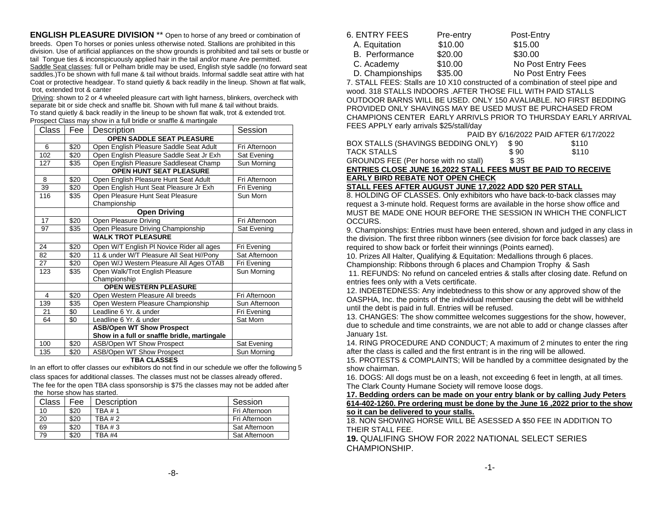**ENGLISH PLEASURE DIVISION** \*\* Open to horse of any breed or combination of breeds. Open To horses or ponies unless otherwise noted. Stallions are prohibited in this division. Use of artificial appliances on the show grounds is prohibited and tail sets or bustle or tail Tongue ties & inconspicuously applied hair in the tail and/or mane Are permitted. Saddle Seat classes: full or Pelham bridle may be used, English style saddle (no forward seat saddles.)To be shown with full mane & tail without braids. Informal saddle seat attire with hat Coat or protective headgear. To stand quietly & back readily in the lineup. Shown at flat walk, trot, extended trot & canter

Driving: shown to 2 or 4 wheeled pleasure cart with light harness, blinkers, overcheck with separate bit or side check and snaffle bit. Shown with full mane & tail without braids. To stand quietly & back readily in the lineup to be shown flat walk, trot & extended trot. Prospect Class may show in a full bridle or snaffle & martingale

| Class | Fee                       | Description                                      | Session       |  |  |
|-------|---------------------------|--------------------------------------------------|---------------|--|--|
|       | OPEN SADDLE SEAT PLEASURE |                                                  |               |  |  |
| 6     | \$20                      | Open English Pleasure Saddle Seat Adult          | Fri Afternoon |  |  |
| 102   | \$20                      | Open English Pleasure Saddle Seat Jr Exh         | Sat Evening   |  |  |
| 127   | $\overline{\$}35$         | Open English Pleasure Saddleseat Champ           | Sun Morning   |  |  |
|       |                           | <b>OPEN HUNT SEAT PLEASURE</b>                   |               |  |  |
| 8     | \$20                      | Open English Pleasure Hunt Seat Adult            | Fri Afternoon |  |  |
| 39    | \$20                      | Open English Hunt Seat Pleasure Jr Exh           | Fri Evening   |  |  |
| 116   | \$35                      | Open Pleasure Hunt Seat Pleasure<br>Championship | Sun Morn      |  |  |
|       |                           | <b>Open Driving</b>                              |               |  |  |
| 17    | \$20                      | Open Pleasure Driving                            | Fri Afternoon |  |  |
| 97    | \$35                      | Open Pleasure Driving Championship               | Sat Evening   |  |  |
|       |                           | <b>WALK TROT PLEASURE</b>                        |               |  |  |
| 24    | \$20                      | Open W/T English PI Novice Rider all ages        | Fri Evening   |  |  |
| 82    | \$20                      | 11 & under W/T Pleasure All Seat H//Pony         | Sat Afternoon |  |  |
| 27    | \$20                      | Open W/J Western Pleasure All Ages OTAB          | Fri Evening   |  |  |
| 123   | \$35                      | Open Walk/Trot English Pleasure                  | Sun Morning   |  |  |
|       |                           | Championship                                     |               |  |  |
|       |                           | <b>OPEN WESTERN PLEASURE</b>                     |               |  |  |
| 4     | \$20                      | Open Western Pleasure All breeds                 | Fri Afternoon |  |  |
| 139   | \$35                      | Open Western Pleasure Championship               | Sun Afternoon |  |  |
| 21    | \$0                       | Leadline 6 Yr. & under                           | Fri Evening   |  |  |
| 64    | \$0                       | Leadline 6 Yr. & under                           | Sat Morn      |  |  |
|       |                           | <b>ASB/Open WT Show Prospect</b>                 |               |  |  |
|       |                           | Show in a full or snaffle bridle, martingale     |               |  |  |
| 100   | \$20                      | ASB/Open WT Show Prospect                        | Sat Evening   |  |  |
| 135   | \$20                      | ASB/Open WT Show Prospect                        | Sun Morning   |  |  |

### **TBA CLASSES**

In an effort to offer classes our exhibitors do not find in our schedule we offer the following 5 class spaces for additional classes. The classes must not be classes already offered.

The fee for the open TBA class sponsorship is \$75 the classes may not be added after the horse show has started.

| Class | Fee  | Description | Session       |
|-------|------|-------------|---------------|
| 10    | \$20 | TBA #1      | Fri Afternoon |
| 20    | \$20 | TBA # 2     | Fri Afternoon |
| 69    | \$20 | TBA #3      | Sat Afternoon |
| 79    | \$20 | TBA #4      | Sat Afternoon |

| 6. ENTRY FEES    | Pre-entry | Post-Entry         |
|------------------|-----------|--------------------|
| A. Equitation    | \$10.00   | \$15.00            |
| B. Performance   | \$20.00   | \$30.00            |
| C. Academy       | \$10.00   | No Post Entry Fees |
| D. Championships | \$35.00   | No Post Entry Fees |

7. STALL FEES: Stalls are 10 X10 constructed of a combination of steel pipe and wood. 318 STALLS INDOORS .AFTER THOSE FILL WITH PAID STALLS OUTDOOR BARNS WILL BE USED. ONLY 150 AVALIABLE. NO FIRST BEDDING PROVIDED ONLY SHAVINGS MAY BE USED MUST BE PURCHASED FROM CHAMPIONS CENTER EARLY ARRIVLS PRIOR TO THURSDAY EARLY ARRIVAL FEES APPLY early arrivals \$25/stall/day

|                                                                 |       | PAID BY 6/16/2022 PAID AFTER 6/17/2022 |
|-----------------------------------------------------------------|-------|----------------------------------------|
| BOX STALLS (SHAVINGS BEDDING ONLY)                              | -S 90 | \$110                                  |
| TACK STALLS                                                     | \$90  | \$110                                  |
| GROUNDS FEE (Per horse with no stall)                           | \$ 35 |                                        |
| EUTRIEA ALAAE JUUL 14 AAAA AT LUL EEEA HUIAT BE BAIB TA BEAEN/E |       |                                        |

### **ENTRIES CLOSE JUNE 16,2022 STALL FEES MUST BE PAID TO RECEIVE EARLY BIRD REBATE NOT OPEN CHECK**

### **STALL FEES AFTER AUGUST JUNE 17,2022 ADD \$20 PER STALL**

8. HOLDING OF CLASSES. Only exhibitors who have back-to-back classes may request a 3-minute hold. Request forms are available in the horse show office and MUST BE MADE ONE HOUR BEFORE THE SESSION IN WHICH THE CONFLICT OCCURS.

9. Championships: Entries must have been entered, shown and judged in any class in the division. The first three ribbon winners (see division for force back classes) are required to show back or forfeit their winnings (Points earned).

10. Prizes All Halter, Qualifying & Equitation: Medallions through 6 places. Championship: Ribbons through 6 places and Champion Trophy & Sash

11. REFUNDS: No refund on canceled entries & stalls after closing date. Refund on entries fees only with a Vets certificate.

12. INDEBTEDNESS: Any indebtedness to this show or any approved show of the OASPHA, Inc. the points of the individual member causing the debt will be withheld until the debt is paid in full. Entries will be refused.

13. CHANGES: The show committee welcomes suggestions for the show, however, due to schedule and time constraints, we are not able to add or change classes after January 1st.

14. RING PROCEDURE AND CONDUCT; A maximum of 2 minutes to enter the ring after the class is called and the first entrant is in the ring will be allowed.

15. PROTESTS & COMPLAINTS; Will be handled by a committee designated by the show chairman.

16. DOGS: All dogs must be on a leash, not exceeding 6 feet in length, at all times. The Clark County Humane Society will remove loose dogs.

**17. Bedding orders can be made on your entry blank or by calling Judy Peters 614-402-1260. Pre ordering must be done by the June 16 ,2022 prior to the show so it can be delivered to your stalls.** 

18. NON SHOWING HORSE WILL BE ASESSED A \$50 FEE IN ADDITION TO THEIR STALL FEE.

**19.** QUALIFING SHOW FOR 2022 NATIONAL SELECT SERIES CHAMPIONSHIP.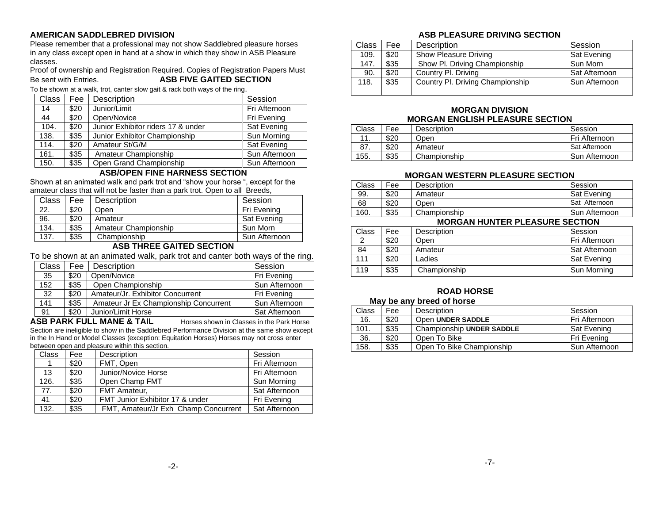# **AMERICAN SADDLEBRED DIVISION**

Please remember that a professional may not show Saddlebred pleasure horses in any class except open in hand at a show in which they show in ASB Pleasure classes.

Proof of ownership and Registration Required. Copies of Registration Papers Must Be sent with Entries. **ASB FIVE GAITED SECTION**

To be shown at a walk, trot, canter slow gait & rack both ways of the ring.

| <b>Class</b> | Fee  | Description                        | Session       |
|--------------|------|------------------------------------|---------------|
| 14           | \$20 | Junior/Limit                       | Fri Afternoon |
| 44           | \$20 | Open/Novice                        | Fri Evening   |
| 104.         | \$20 | Junior Exhibitor riders 17 & under | Sat Evening   |
| 138.         | \$35 | Junior Exhibitor Championship      | Sun Morning   |
| 114.         | \$20 | Amateur St/G/M                     | Sat Evening   |
| 161.         | \$35 | Amateur Championship               | Sun Afternoon |
| 150.         | \$35 | Open Grand Championship            | Sun Afternoon |

# **ASB/OPEN FINE HARNESS SECTION**

Shown at an animated walk and park trot and "show your horse ", except for the amateur class that will not be faster than a park trot. Open to all Breeds,

| Class | Fee  | <b>Description</b>   | Session       |
|-------|------|----------------------|---------------|
| 22.   | \$20 | Open                 | Fri Evening   |
| 96.   | \$20 | Amateur              | Sat Evening   |
| 134.  | \$35 | Amateur Championship | Sun Morn      |
| 137.  | \$35 | Championship         | Sun Afternoon |
|       |      |                      |               |

# **ASB THREE GAITED SECTION**

To be shown at an animated walk, park trot and canter both ways of the ring.

| Class | Fee  | Description                           | Session       |
|-------|------|---------------------------------------|---------------|
| 35    | \$20 | Open/Novice                           | Fri Evening   |
| 152   | \$35 | Open Championship                     | Sun Afternoon |
| 32    | \$20 | Amateur/Jr. Exhibitor Concurrent      | Fri Evening   |
| 141   | \$35 | Amateur Jr Ex Championship Concurrent | Sun Afternoon |
| 91    | \$20 | Junior/Limit Horse                    | Sat Afternoon |

**ASB PARK FULL MANE & TAIL** Horses shown in Classes in the Park Horse Section are ineligible to show in the Saddlebred Performance Division at the same show except in the In Hand or Model Classes (exception: Equitation Horses) Horses may not cross enter between open and pleasure within this section.

| <b>Class</b> | Fee  | Description                          | Session       |
|--------------|------|--------------------------------------|---------------|
|              | \$20 | FMT, Open                            | Fri Afternoon |
| 13           | \$20 | Junior/Novice Horse                  | Fri Afternoon |
| 126.         | \$35 | Open Champ FMT                       | Sun Morning   |
| 77.          | \$20 | FMT Amateur,                         | Sat Afternoon |
| 41           | \$20 | FMT Junior Exhibitor 17 & under      | Fri Evening   |
| 132.         | \$35 | FMT, Amateur/Jr Exh Champ Concurrent | Sat Afternoon |

# **ASB PLEASURE DRIVING SECTION**

| Class | Fee  | Description                      | Session       |
|-------|------|----------------------------------|---------------|
| 109.  | \$20 | Show Pleasure Driving            | Sat Evening   |
| 147.  | \$35 | Show Pl. Driving Championship    | Sun Morn      |
| 90.   | \$20 | Country Pl. Driving              | Sat Afternoon |
| 118.  | \$35 | Country PI. Driving Championship | Sun Afternoon |

# **MORGAN DIVISION MORGAN ENGLISH PLEASURE SECTION**

| Class | Fee  | Description  | Session       |
|-------|------|--------------|---------------|
| 11.   | \$20 | Open         | Fri Afternoon |
| 87.   | \$20 | Amateur      | Sat Afternoon |
| 155.  | \$35 | Championship | Sun Afternoon |

# **MORGAN WESTERN PLEASURE SECTION**

| Class | Fee  | Description  | Session       |
|-------|------|--------------|---------------|
| 99.   | \$20 | Amateur      | Sat Evening   |
| 68    | \$20 | Open         | Sat Afternoon |
| 160.  | \$35 | Championship | Sun Afternoon |

# **MORGAN HUNTER PLEASURE SECTION**

| Class | Fee  | Description  | Session       |
|-------|------|--------------|---------------|
|       | \$20 | Open         | Fri Afternoon |
| 84    | \$20 | Amateur      | Sat Afternoon |
| 111   | \$20 | Ladies       | Sat Evening   |
| 119   | \$35 | Championship | Sun Morning   |

# **ROAD HORSE**

# **May be any breed of horse**

| Class | Fee  | Description                      | Session       |
|-------|------|----------------------------------|---------------|
| 16.   | \$20 | Open UNDER SADDLE                | Fri Afternoon |
| 101.  | \$35 | <b>Championship UNDER SADDLE</b> | Sat Evening   |
| 36.   | \$20 | Open To Bike                     | Fri Evening   |
| 158.  | \$35 | Open To Bike Championship        | Sun Afternoon |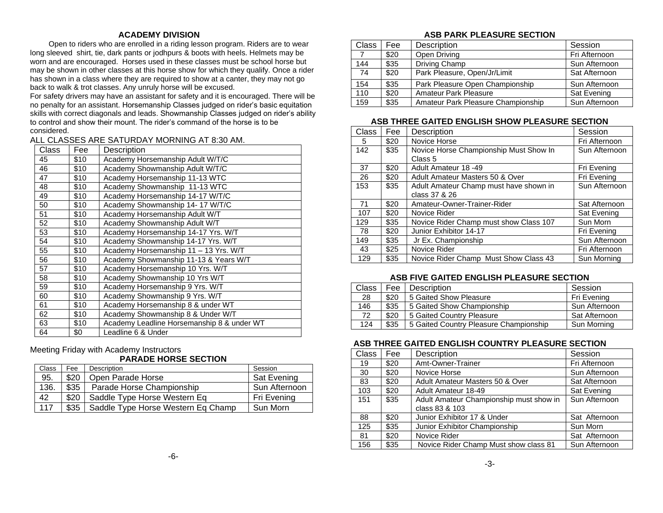# **ACADEMY DIVISION**

 Open to riders who are enrolled in a riding lesson program. Riders are to wear long sleeved shirt, tie, dark pants or jodhpurs & boots with heels. Helmets may be worn and are encouraged. Horses used in these classes must be school horse but may be shown in other classes at this horse show for which they qualify. Once a rider has shown in a class where they are required to show at a canter, they may not go back to walk & trot classes. Any unruly horse will be excused.

For safety drivers may have an assistant for safety and it is encouraged. There will be no penalty for an assistant. Horsemanship Classes judged on rider's basic equitation skills with correct diagonals and leads. Showmanship Classes judged on rider's ability to control and show their mount. The rider's command of the horse is to be considered.

# ALL CLASSES ARE SATURDAY MORNING AT 8:30 AM.

| Class | Fee  | Description                                |
|-------|------|--------------------------------------------|
| 45    | \$10 | Academy Horsemanship Adult W/T/C           |
| 46    | \$10 | Academy Showmanship Adult W/T/C            |
| 47    | \$10 | Academy Horsemanship 11-13 WTC             |
| 48    | \$10 | Academy Showmanship 11-13 WTC              |
| 49    | \$10 | Academy Horsemanship 14-17 W/T/C           |
| 50    | \$10 | Academy Showmanship 14- 17 W/T/C           |
| 51    | \$10 | Academy Horsemanship Adult W/T             |
| 52    | \$10 | Academy Showmanship Adult W/T              |
| 53    | \$10 | Academy Horsemanship 14-17 Yrs. W/T        |
| 54    | \$10 | Academy Showmanship 14-17 Yrs. W/T         |
| 55    | \$10 | Academy Horsemanship 11 - 13 Yrs. W/T      |
| 56    | \$10 | Academy Showmanship 11-13 & Years W/T      |
| 57    | \$10 | Academy Horsemanship 10 Yrs. W/T           |
| 58    | \$10 | Academy Showmanship 10 Yrs W/T             |
| 59    | \$10 | Academy Horsemanship 9 Yrs. W/T            |
| 60    | \$10 | Academy Showmanship 9 Yrs. W/T             |
| 61    | \$10 | Academy Horsemanship 8 & under WT          |
| 62    | \$10 | Academy Showmanship 8 & Under W/T          |
| 63    | \$10 | Academy Leadline Horsemanship 8 & under WT |
| 64    | \$0  | Leadline 6 & Under                         |

Meeting Friday with Academy Instructors

# **PARADE HORSE SECTION**

| Class | Fee  | Description                        | Session       |
|-------|------|------------------------------------|---------------|
| 95.   | \$20 | Open Parade Horse                  | Sat Evening   |
| 136.  | \$35 | Parade Horse Championship          | Sun Afternoon |
| 42    | \$20 | Saddle Type Horse Western Eq       | Fri Evening   |
| 117   | \$35 | Saddle Type Horse Western Eq Champ | Sun Morn      |

# **ASB PARK PLEASURE SECTION**

| Class | Fee  | Description                        | Session       |
|-------|------|------------------------------------|---------------|
|       | \$20 | Open Driving                       | Fri Afternoon |
| 144   | \$35 | Driving Champ                      | Sun Afternoon |
| 74    | \$20 | Park Pleasure, Open/Jr/Limit       | Sat Afternoon |
| 154   | \$35 | Park Pleasure Open Championship    | Sun Afternoon |
| 110   | \$20 | <b>Amateur Park Pleasure</b>       | Sat Evening   |
| 159   | \$35 | Amateur Park Pleasure Championship | Sun Afternoon |

### **ASB THREE GAITED ENGLISH SHOW PLEASURE SECTION**

| Class | Fee  | Description                            | Session       |
|-------|------|----------------------------------------|---------------|
| 5     | \$20 | Novice Horse                           | Fri Afternoon |
| 142   | \$35 | Novice Horse Championship Must Show In | Sun Afternoon |
|       |      | Class 5                                |               |
| 37    | \$20 | Adult Amateur 18 -49                   | Fri Evening   |
| 26    | \$20 | Adult Amateur Masters 50 & Over        | Fri Evening   |
| 153   | \$35 | Adult Amateur Champ must have shown in | Sun Afternoon |
|       |      | class 37 & 26                          |               |
| 71    | \$20 | Amateur-Owner-Trainer-Rider            | Sat Afternoon |
| 107   | \$20 | Novice Rider                           | Sat Evening   |
| 129   | \$35 | Novice Rider Champ must show Class 107 | Sun Morn      |
| 78    | \$20 | Junior Exhibitor 14-17                 | Fri Evening   |
| 149   | \$35 | Jr Ex. Championship                    | Sun Afternoon |
| 43    | \$25 | Novice Rider                           | Fri Afternoon |
| 129   | \$35 | Novice Rider Champ Must Show Class 43  | Sun Morning   |

# **ASB FIVE GAITED ENGLISH PLEASURE SECTION**

| Class | Fee  | <b>Description</b>                     | Session       |
|-------|------|----------------------------------------|---------------|
| 28    | \$20 | 5 Gaited Show Pleasure                 | Fri Evening   |
| 146   | \$35 | 5 Gaited Show Championship             | Sun Afternoon |
| 72    | \$20 | 5 Gaited Country Pleasure              | Sat Afternoon |
| 124   | \$35 | 5 Gaited Country Pleasure Championship | Sun Morning   |

# **ASB THREE GAITED ENGLISH COUNTRY PLEASURE SECTION**

| Class | Fee  | Description                             | Session       |
|-------|------|-----------------------------------------|---------------|
| 19    | \$20 | Amt-Owner-Trainer                       | Fri Afternoon |
| 30    | \$20 | Novice Horse                            | Sun Afternoon |
| 83    | \$20 | Adult Amateur Masters 50 & Over         | Sat Afternoon |
| 103   | \$20 | Adult Amateur 18-49                     | Sat Evening   |
| 151   | \$35 | Adult Amateur Championship must show in | Sun Afternoon |
|       |      | class 83 & 103                          |               |
| 88    | \$20 | Junior Exhibitor 17 & Under             | Sat Afternoon |
| 125   | \$35 | Junior Exhibitor Championship           | Sun Morn      |
| 81    | \$20 | Novice Rider                            | Sat Afternoon |
| 156   | \$35 | Novice Rider Champ Must show class 81   | Sun Afternoon |